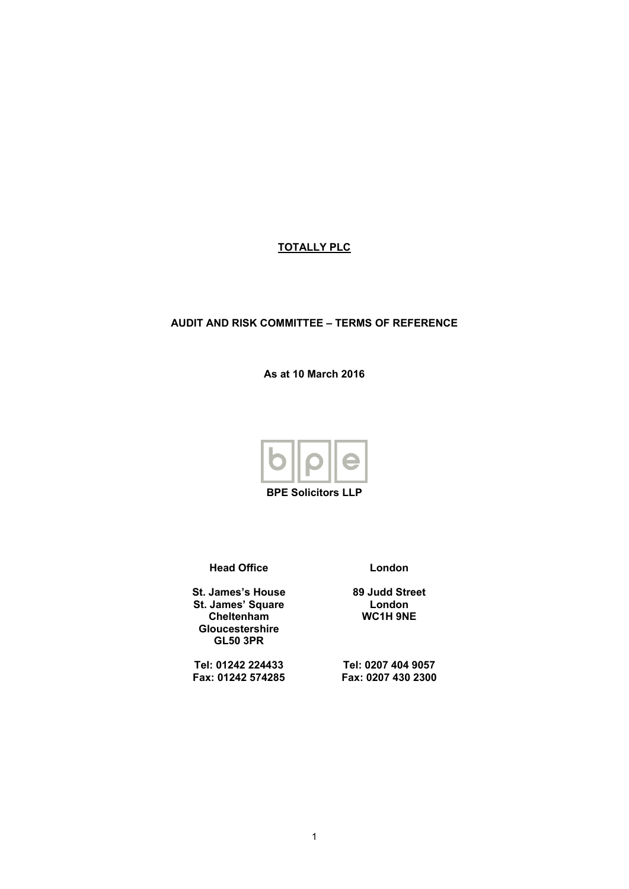# **TOTALLY PLC**

## **AUDIT AND RISK COMMITTEE – TERMS OF REFERENCE**

**As at 10 March 2016**



**BPE Solicitors LLP**

**Head Office**

**St. James's House St. James' Square Cheltenham Gloucestershire GL50 3PR**

**Tel: 01242 224433 Fax: 01242 574285** **London**

**89 Judd Street London WC1H 9NE**

**Tel: 0207 404 9057 Fax: 0207 430 2300**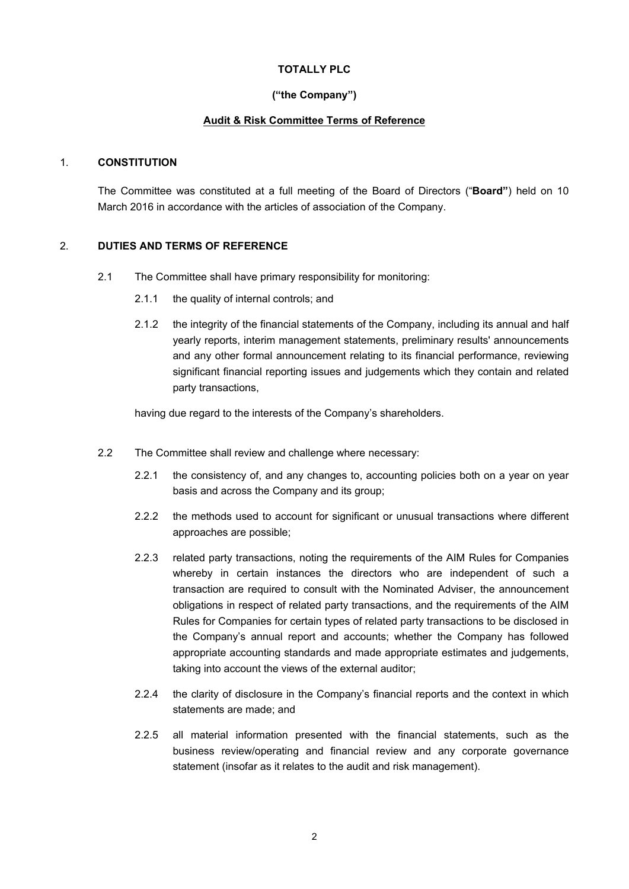## **TOTALLY PLC**

## **("the Company")**

## **Audit & Risk Committee Terms of Reference**

#### 1. **CONSTITUTION**

The Committee was constituted at a full meeting of the Board of Directors ("**Board"**) held on 10 March 2016 in accordance with the articles of association of the Company.

#### 2. **DUTIES AND TERMS OF REFERENCE**

- 2.1 The Committee shall have primary responsibility for monitoring:
	- 2.1.1 the quality of internal controls; and
	- 2.1.2 the integrity of the financial statements of the Company, including its annual and half yearly reports, interim management statements, preliminary results' announcements and any other formal announcement relating to its financial performance, reviewing significant financial reporting issues and judgements which they contain and related party transactions,

having due regard to the interests of the Company's shareholders.

- 2.2 The Committee shall review and challenge where necessary:
	- 2.2.1 the consistency of, and any changes to, accounting policies both on a year on year basis and across the Company and its group;
	- 2.2.2 the methods used to account for significant or unusual transactions where different approaches are possible;
	- 2.2.3 related party transactions, noting the requirements of the AIM Rules for Companies whereby in certain instances the directors who are independent of such a transaction are required to consult with the Nominated Adviser, the announcement obligations in respect of related party transactions, and the requirements of the AIM Rules for Companies for certain types of related party transactions to be disclosed in the Company's annual report and accounts; whether the Company has followed appropriate accounting standards and made appropriate estimates and judgements, taking into account the views of the external auditor;
	- 2.2.4 the clarity of disclosure in the Company's financial reports and the context in which statements are made; and
	- 2.2.5 all material information presented with the financial statements, such as the business review/operating and financial review and any corporate governance statement (insofar as it relates to the audit and risk management).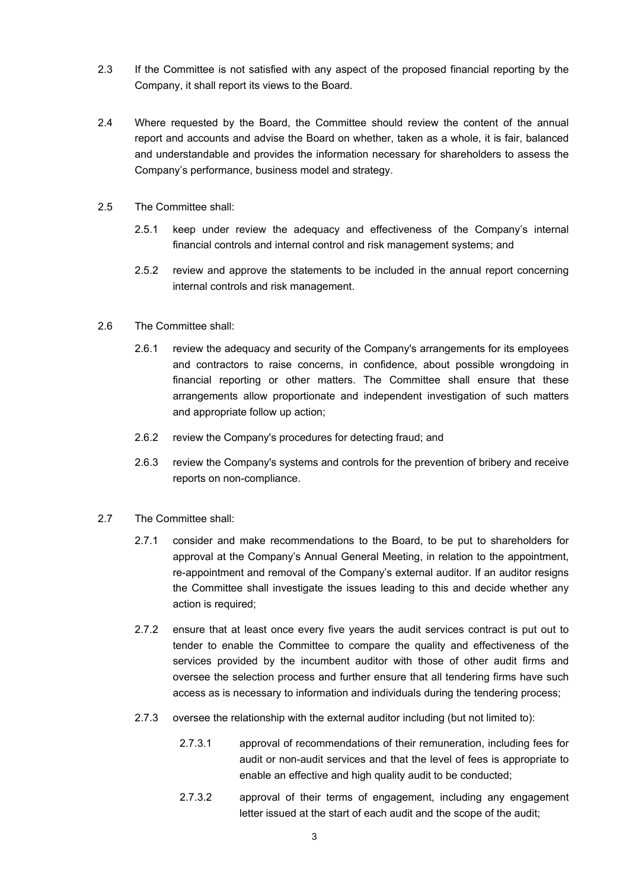- 2.3 If the Committee is not satisfied with any aspect of the proposed financial reporting by the Company, it shall report its views to the Board.
- 2.4 Where requested by the Board, the Committee should review the content of the annual report and accounts and advise the Board on whether, taken as a whole, it is fair, balanced and understandable and provides the information necessary for shareholders to assess the Company's performance, business model and strategy.
- 2.5 The Committee shall:
	- 2.5.1 keep under review the adequacy and effectiveness of the Company's internal financial controls and internal control and risk management systems; and
	- 2.5.2 review and approve the statements to be included in the annual report concerning internal controls and risk management.
- 2.6 The Committee shall:
	- 2.6.1 review the adequacy and security of the Company's arrangements for its employees and contractors to raise concerns, in confidence, about possible wrongdoing in financial reporting or other matters. The Committee shall ensure that these arrangements allow proportionate and independent investigation of such matters and appropriate follow up action;
	- 2.6.2 review the Company's procedures for detecting fraud; and
	- 2.6.3 review the Company's systems and controls for the prevention of bribery and receive reports on non-compliance.
- 2.7 The Committee shall:
	- 2.7.1 consider and make recommendations to the Board, to be put to shareholders for approval at the Company's Annual General Meeting, in relation to the appointment, re-appointment and removal of the Company's external auditor. If an auditor resigns the Committee shall investigate the issues leading to this and decide whether any action is required;
	- 2.7.2 ensure that at least once every five years the audit services contract is put out to tender to enable the Committee to compare the quality and effectiveness of the services provided by the incumbent auditor with those of other audit firms and oversee the selection process and further ensure that all tendering firms have such access as is necessary to information and individuals during the tendering process;
	- 2.7.3 oversee the relationship with the external auditor including (but not limited to):
		- 2.7.3.1 approval of recommendations of their remuneration, including fees for audit or non-audit services and that the level of fees is appropriate to enable an effective and high quality audit to be conducted;
		- 2.7.3.2 approval of their terms of engagement, including any engagement letter issued at the start of each audit and the scope of the audit;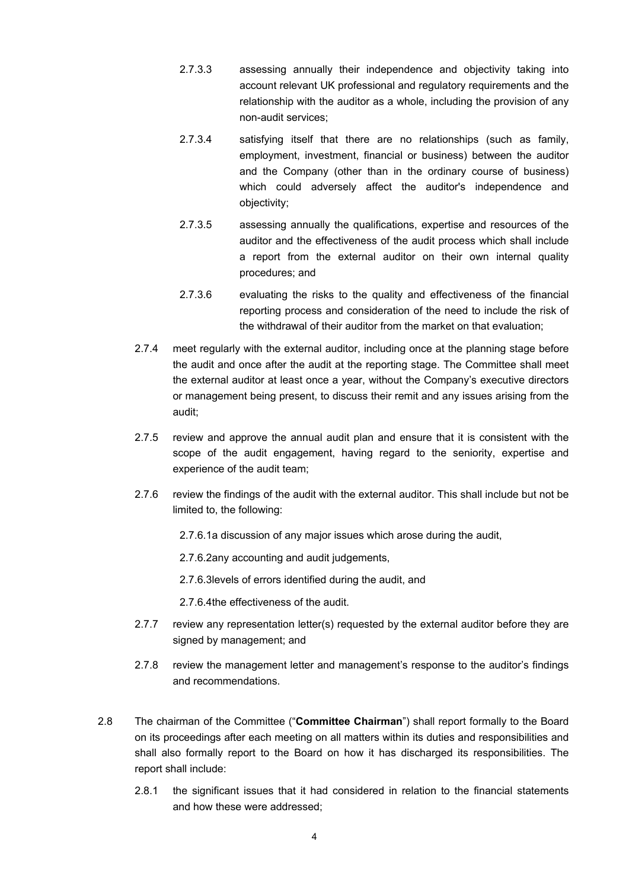- 2.7.3.3 assessing annually their independence and objectivity taking into account relevant UK professional and regulatory requirements and the relationship with the auditor as a whole, including the provision of any non-audit services;
- 2.7.3.4 satisfying itself that there are no relationships (such as family, employment, investment, financial or business) between the auditor and the Company (other than in the ordinary course of business) which could adversely affect the auditor's independence and objectivity;
- 2.7.3.5 assessing annually the qualifications, expertise and resources of the auditor and the effectiveness of the audit process which shall include a report from the external auditor on their own internal quality procedures; and
- 2.7.3.6 evaluating the risks to the quality and effectiveness of the financial reporting process and consideration of the need to include the risk of the withdrawal of their auditor from the market on that evaluation;
- 2.7.4 meet regularly with the external auditor, including once at the planning stage before the audit and once after the audit at the reporting stage. The Committee shall meet the external auditor at least once a year, without the Company's executive directors or management being present, to discuss their remit and any issues arising from the audit;
- 2.7.5 review and approve the annual audit plan and ensure that it is consistent with the scope of the audit engagement, having regard to the seniority, expertise and experience of the audit team;
- 2.7.6 review the findings of the audit with the external auditor. This shall include but not be limited to, the following:
	- 2.7.6.1a discussion of any major issues which arose during the audit,
	- 2.7.6.2any accounting and audit judgements,
	- 2.7.6.3levels of errors identified during the audit, and
	- 2.7.6.4the effectiveness of the audit.
- 2.7.7 review any representation letter(s) requested by the external auditor before they are signed by management; and
- 2.7.8 review the management letter and management's response to the auditor's findings and recommendations.
- 2.8 The chairman of the Committee ("**Committee Chairman**") shall report formally to the Board on its proceedings after each meeting on all matters within its duties and responsibilities and shall also formally report to the Board on how it has discharged its responsibilities. The report shall include:
	- 2.8.1 the significant issues that it had considered in relation to the financial statements and how these were addressed;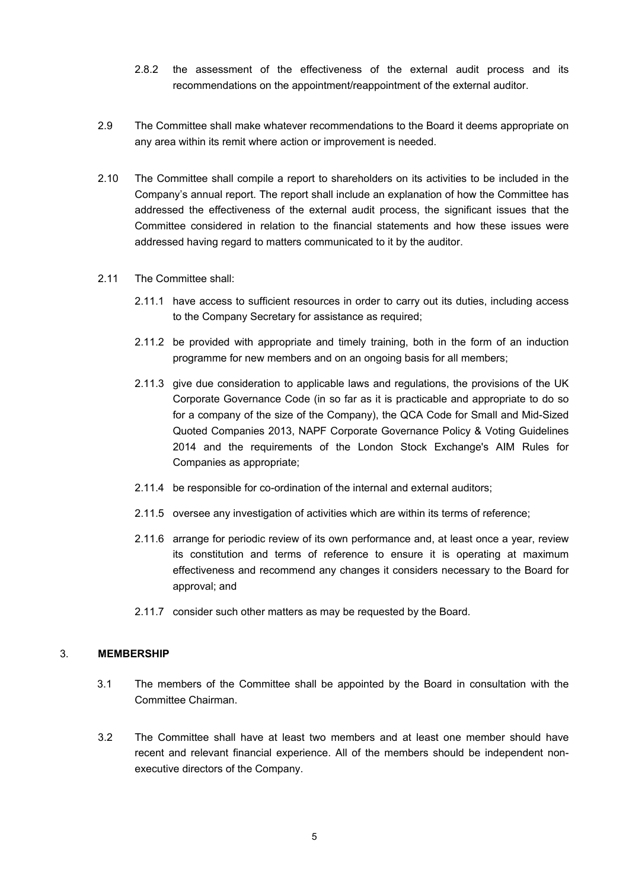- 2.8.2 the assessment of the effectiveness of the external audit process and its recommendations on the appointment/reappointment of the external auditor.
- 2.9 The Committee shall make whatever recommendations to the Board it deems appropriate on any area within its remit where action or improvement is needed.
- 2.10 The Committee shall compile a report to shareholders on its activities to be included in the Company's annual report. The report shall include an explanation of how the Committee has addressed the effectiveness of the external audit process, the significant issues that the Committee considered in relation to the financial statements and how these issues were addressed having regard to matters communicated to it by the auditor.
- 2.11 The Committee shall:
	- 2.11.1 have access to sufficient resources in order to carry out its duties, including access to the Company Secretary for assistance as required;
	- 2.11.2 be provided with appropriate and timely training, both in the form of an induction programme for new members and on an ongoing basis for all members;
	- 2.11.3 give due consideration to applicable laws and regulations, the provisions of the UK Corporate Governance Code (in so far as it is practicable and appropriate to do so for a company of the size of the Company), the QCA Code for Small and Mid-Sized Quoted Companies 2013, NAPF Corporate Governance Policy & Voting Guidelines 2014 and the requirements of the London Stock Exchange's AIM Rules for Companies as appropriate;
	- 2.11.4 be responsible for co-ordination of the internal and external auditors;
	- 2.11.5 oversee any investigation of activities which are within its terms of reference;
	- 2.11.6 arrange for periodic review of its own performance and, at least once a year, review its constitution and terms of reference to ensure it is operating at maximum effectiveness and recommend any changes it considers necessary to the Board for approval; and
	- 2.11.7 consider such other matters as may be requested by the Board.

#### 3. **MEMBERSHIP**

- 3.1 The members of the Committee shall be appointed by the Board in consultation with the Committee Chairman.
- 3.2 The Committee shall have at least two members and at least one member should have recent and relevant financial experience. All of the members should be independent nonexecutive directors of the Company.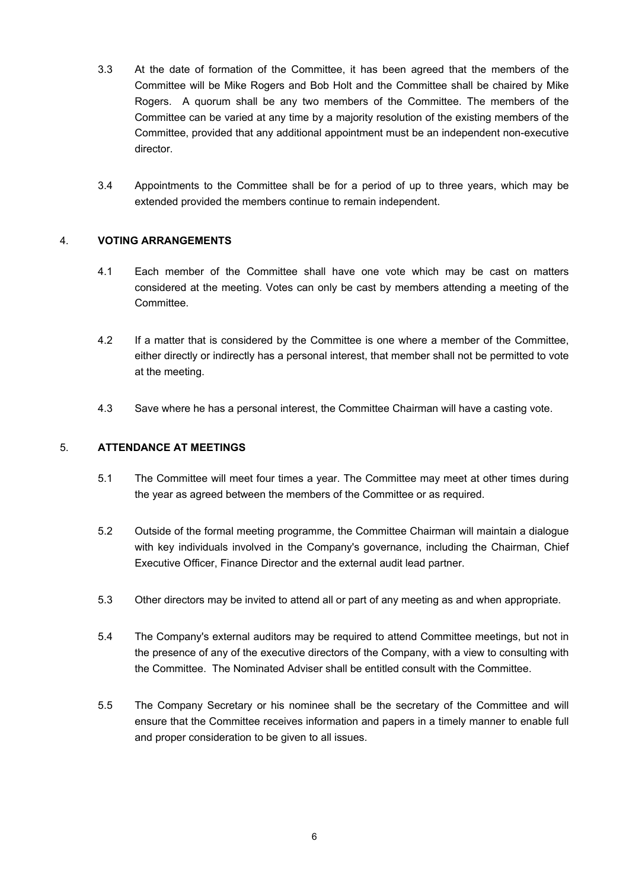- 3.3 At the date of formation of the Committee, it has been agreed that the members of the Committee will be Mike Rogers and Bob Holt and the Committee shall be chaired by Mike Rogers. A quorum shall be any two members of the Committee. The members of the Committee can be varied at any time by a majority resolution of the existing members of the Committee, provided that any additional appointment must be an independent non-executive director.
- 3.4 Appointments to the Committee shall be for a period of up to three years, which may be extended provided the members continue to remain independent.

## 4. **VOTING ARRANGEMENTS**

- 4.1 Each member of the Committee shall have one vote which may be cast on matters considered at the meeting. Votes can only be cast by members attending a meeting of the Committee.
- 4.2 If a matter that is considered by the Committee is one where a member of the Committee, either directly or indirectly has a personal interest, that member shall not be permitted to vote at the meeting.
- 4.3 Save where he has a personal interest, the Committee Chairman will have a casting vote.

## 5. **ATTENDANCE AT MEETINGS**

- 5.1 The Committee will meet four times a year. The Committee may meet at other times during the year as agreed between the members of the Committee or as required.
- 5.2 Outside of the formal meeting programme, the Committee Chairman will maintain a dialogue with key individuals involved in the Company's governance, including the Chairman, Chief Executive Officer, Finance Director and the external audit lead partner.
- 5.3 Other directors may be invited to attend all or part of any meeting as and when appropriate.
- 5.4 The Company's external auditors may be required to attend Committee meetings, but not in the presence of any of the executive directors of the Company, with a view to consulting with the Committee. The Nominated Adviser shall be entitled consult with the Committee.
- 5.5 The Company Secretary or his nominee shall be the secretary of the Committee and will ensure that the Committee receives information and papers in a timely manner to enable full and proper consideration to be given to all issues.